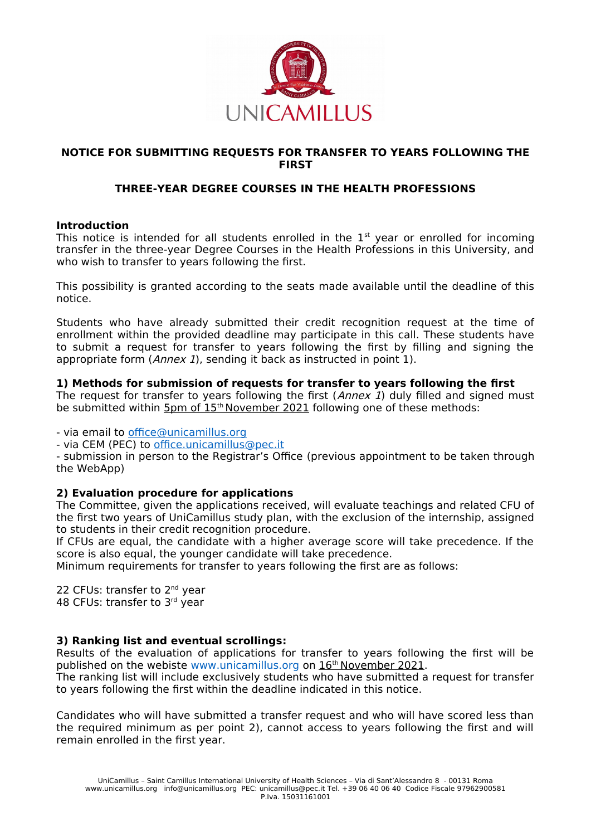

## **NOTICE FOR SUBMITTING REQUESTS FOR TRANSFER TO YEARS FOLLOWING THE FIRST**

# **THREE-YEAR DEGREE COURSES IN THE HEALTH PROFESSIONS**

#### **Introduction**

This notice is intended for all students enrolled in the  $1<sup>st</sup>$  year or enrolled for incoming transfer in the three-year Degree Courses in the Health Professions in this University, and who wish to transfer to years following the first.

This possibility is granted according to the seats made available until the deadline of this notice.

Students who have already submitted their credit recognition request at the time of enrollment within the provided deadline may participate in this call. These students have to submit a request for transfer to years following the first by filling and signing the appropriate form (*Annex 1*), sending it back as instructed in point 1).

## **1) Methods for submission of requests for transfer to years following the first**

The request for transfer to years following the first (Annex 1) duly filled and signed must be submitted within 5pm of 15<sup>th</sup> November 2021 following one of these methods:

- via email to [office@unicamillus.org](mailto:office@unicamillus.org)

- via CEM (PEC) to [office.unicamillus@pec.it](mailto:office.unicamillus@pec.it)

- submission in person to the Registrar's Office (previous appointment to be taken through the WebApp)

## **2) Evaluation procedure for applications**

The Committee, given the applications received, will evaluate teachings and related CFU of the first two years of UniCamillus study plan, with the exclusion of the internship, assigned to students in their credit recognition procedure.

If CFUs are equal, the candidate with a higher average score will take precedence. If the score is also equal, the younger candidate will take precedence.

Minimum requirements for transfer to years following the first are as follows:

22 CFUs: transfer to 2<sup>nd</sup> year 48 CFUs: transfer to 3rd year

## **3) Ranking list and eventual scrollings:**

Results of the evaluation of applications for transfer to years following the first will be published on the webiste [www.unicamillus.org](http://www.unicamillus.org/) on 16<sup>th</sup> November 2021.

The ranking list will include exclusively students who have submitted a request for transfer to years following the first within the deadline indicated in this notice.

Candidates who will have submitted a transfer request and who will have scored less than the required minimum as per point 2), cannot access to years following the first and will remain enrolled in the first year.